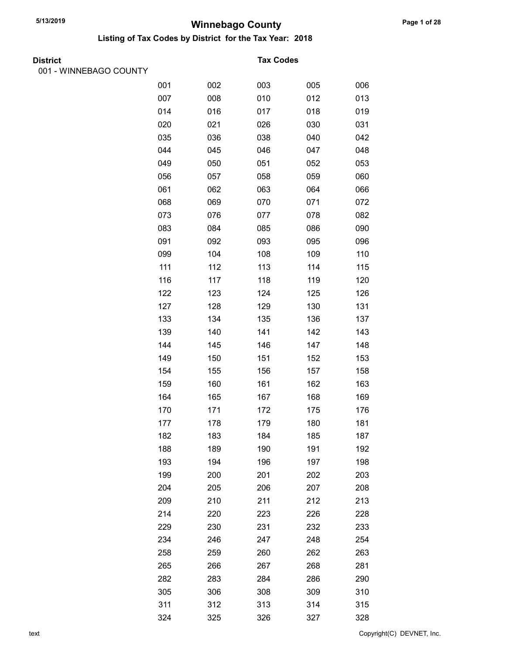Listing of Tax Codes by District for the Tax Year: 2018

| <b>District</b> |
|-----------------|
|                 |

001 - WINNEBAGO COUNTY

#### **Tax Codes**

| 001 | 002 | 003 | 005 | 006 |
|-----|-----|-----|-----|-----|
| 007 | 008 | 010 | 012 | 013 |
| 014 | 016 | 017 | 018 | 019 |
| 020 | 021 | 026 | 030 | 031 |
| 035 | 036 | 038 | 040 | 042 |
| 044 | 045 | 046 | 047 | 048 |
| 049 | 050 | 051 | 052 | 053 |
| 056 | 057 | 058 | 059 | 060 |
| 061 | 062 | 063 | 064 | 066 |
| 068 | 069 | 070 | 071 | 072 |
| 073 | 076 | 077 | 078 | 082 |
| 083 | 084 | 085 | 086 | 090 |
| 091 | 092 | 093 | 095 | 096 |
| 099 | 104 | 108 | 109 | 110 |
| 111 | 112 | 113 | 114 | 115 |
| 116 | 117 | 118 | 119 | 120 |
| 122 | 123 | 124 | 125 | 126 |
| 127 | 128 | 129 | 130 | 131 |
| 133 | 134 | 135 | 136 | 137 |
| 139 | 140 | 141 | 142 | 143 |
| 144 | 145 | 146 | 147 | 148 |
| 149 | 150 | 151 | 152 | 153 |
| 154 | 155 | 156 | 157 | 158 |
| 159 | 160 | 161 | 162 | 163 |
| 164 | 165 | 167 | 168 | 169 |
| 170 | 171 | 172 | 175 | 176 |
| 177 | 178 | 179 | 180 | 181 |
| 182 | 183 | 184 | 185 | 187 |
| 188 | 189 | 190 | 191 | 192 |
| 193 | 194 | 196 | 197 | 198 |
| 199 | 200 | 201 | 202 | 203 |
| 204 | 205 | 206 | 207 | 208 |
| 209 | 210 | 211 | 212 | 213 |
| 214 | 220 | 223 | 226 | 228 |
| 229 | 230 | 231 | 232 | 233 |
| 234 | 246 | 247 | 248 | 254 |
| 258 | 259 | 260 | 262 | 263 |
| 265 | 266 | 267 | 268 | 281 |
| 282 | 283 | 284 | 286 | 290 |
| 305 | 306 | 308 | 309 | 310 |
| 311 | 312 | 313 | 314 | 315 |
| 324 | 325 | 326 | 327 | 328 |

text Copyright(C) DEVNET, Inc.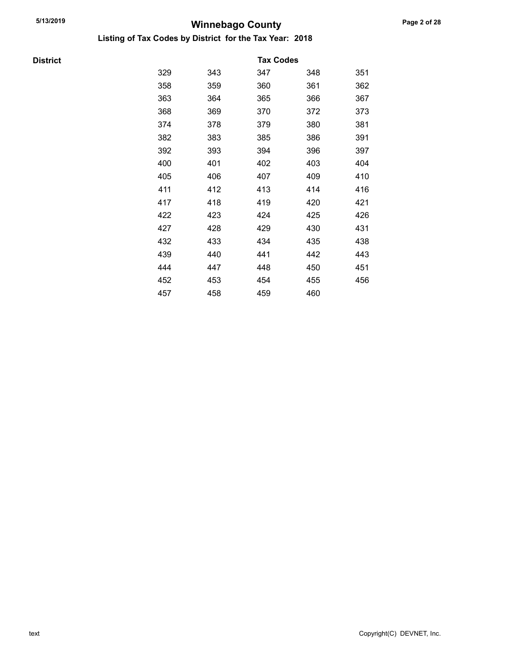Listing of Tax Codes by District for the Tax Year: 2018

**District** 

|     |     | <b>Tax Codes</b> |     |     |
|-----|-----|------------------|-----|-----|
| 329 | 343 | 347              | 348 | 351 |
| 358 | 359 | 360              | 361 | 362 |
| 363 | 364 | 365              | 366 | 367 |
| 368 | 369 | 370              | 372 | 373 |
| 374 | 378 | 379              | 380 | 381 |
| 382 | 383 | 385              | 386 | 391 |
| 392 | 393 | 394              | 396 | 397 |
| 400 | 401 | 402              | 403 | 404 |
| 405 | 406 | 407              | 409 | 410 |
| 411 | 412 | 413              | 414 | 416 |
| 417 | 418 | 419              | 420 | 421 |
| 422 | 423 | 424              | 425 | 426 |
| 427 | 428 | 429              | 430 | 431 |
| 432 | 433 | 434              | 435 | 438 |
| 439 | 440 | 441              | 442 | 443 |
| 444 | 447 | 448              | 450 | 451 |
| 452 | 453 | 454              | 455 | 456 |
| 457 | 458 | 459              | 460 |     |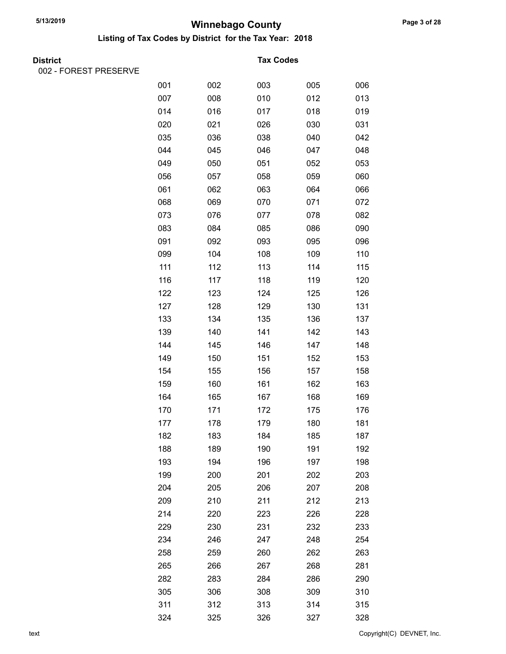Listing of Tax Codes by District for the Tax Year: 2018

002 - FOREST PRESERVE

#### **Tax Codes**

| 001 | 002 | 003 | 005 | 006 |
|-----|-----|-----|-----|-----|
| 007 | 008 | 010 | 012 | 013 |
| 014 | 016 | 017 | 018 | 019 |
| 020 | 021 | 026 | 030 | 031 |
| 035 | 036 | 038 | 040 | 042 |
| 044 | 045 | 046 | 047 | 048 |
| 049 | 050 | 051 | 052 | 053 |
| 056 | 057 | 058 | 059 | 060 |
| 061 | 062 | 063 | 064 | 066 |
| 068 | 069 | 070 | 071 | 072 |
| 073 | 076 | 077 | 078 | 082 |
| 083 | 084 | 085 | 086 | 090 |
| 091 | 092 | 093 | 095 | 096 |
| 099 | 104 | 108 | 109 | 110 |
| 111 | 112 | 113 | 114 | 115 |
| 116 | 117 | 118 | 119 | 120 |
| 122 | 123 | 124 | 125 | 126 |
| 127 | 128 | 129 | 130 | 131 |
| 133 | 134 | 135 | 136 | 137 |
| 139 | 140 | 141 | 142 | 143 |
| 144 | 145 | 146 | 147 | 148 |
| 149 | 150 | 151 | 152 | 153 |
| 154 | 155 | 156 | 157 | 158 |
| 159 | 160 | 161 | 162 | 163 |
| 164 | 165 | 167 | 168 | 169 |
| 170 | 171 | 172 | 175 | 176 |
| 177 | 178 | 179 | 180 | 181 |
| 182 | 183 | 184 | 185 | 187 |
| 188 | 189 | 190 | 191 | 192 |
| 193 | 194 | 196 | 197 | 198 |
| 199 | 200 | 201 | 202 | 203 |
| 204 | 205 | 206 | 207 | 208 |
| 209 | 210 | 211 | 212 | 213 |
| 214 | 220 | 223 | 226 | 228 |
| 229 | 230 | 231 | 232 | 233 |
| 234 | 246 | 247 | 248 | 254 |
| 258 | 259 | 260 | 262 | 263 |
| 265 | 266 | 267 | 268 | 281 |
| 282 | 283 | 284 | 286 | 290 |
| 305 | 306 | 308 | 309 | 310 |
| 311 | 312 | 313 | 314 | 315 |
| 324 | 325 | 326 | 327 | 328 |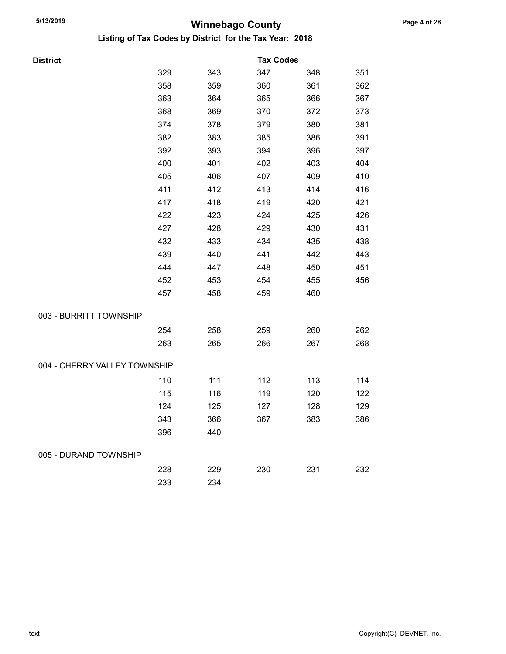| District                     |     |     | <b>Tax Codes</b> |     |     |
|------------------------------|-----|-----|------------------|-----|-----|
|                              | 329 | 343 | 347              | 348 | 351 |
|                              | 358 | 359 | 360              | 361 | 362 |
|                              | 363 | 364 | 365              | 366 | 367 |
|                              | 368 | 369 | 370              | 372 | 373 |
|                              | 374 | 378 | 379              | 380 | 381 |
|                              | 382 | 383 | 385              | 386 | 391 |
|                              | 392 | 393 | 394              | 396 | 397 |
|                              | 400 | 401 | 402              | 403 | 404 |
|                              | 405 | 406 | 407              | 409 | 410 |
|                              | 411 | 412 | 413              | 414 | 416 |
|                              | 417 | 418 | 419              | 420 | 421 |
|                              | 422 | 423 | 424              | 425 | 426 |
|                              | 427 | 428 | 429              | 430 | 431 |
|                              | 432 | 433 | 434              | 435 | 438 |
|                              | 439 | 440 | 441              | 442 | 443 |
|                              | 444 | 447 | 448              | 450 | 451 |
|                              | 452 | 453 | 454              | 455 | 456 |
|                              | 457 | 458 | 459              | 460 |     |
| 003 - BURRITT TOWNSHIP       |     |     |                  |     |     |
|                              | 254 | 258 | 259              | 260 | 262 |
|                              | 263 | 265 | 266              | 267 | 268 |
| 004 - CHERRY VALLEY TOWNSHIP |     |     |                  |     |     |
|                              | 110 | 111 | 112              | 113 | 114 |
|                              | 115 | 116 | 119              | 120 | 122 |
|                              | 124 | 125 | 127              | 128 | 129 |
|                              | 343 | 366 | 367              | 383 | 386 |
|                              | 396 | 440 |                  |     |     |
| 005 - DURAND TOWNSHIP        |     |     |                  |     |     |
|                              | 228 | 229 | 230              | 231 | 232 |
|                              | 233 | 234 |                  |     |     |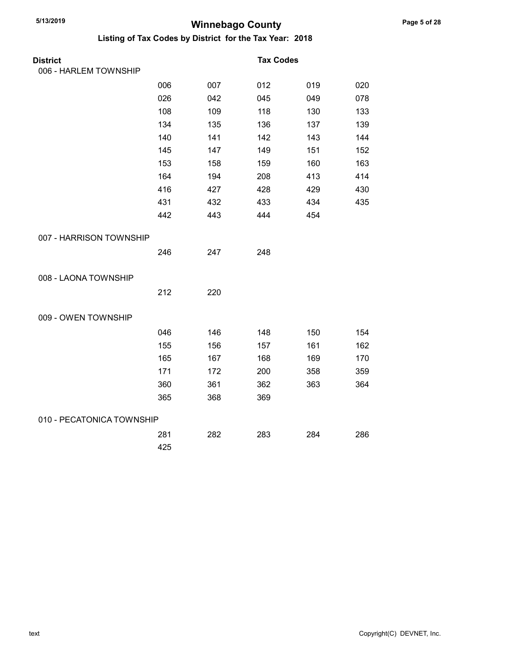| <b>District</b>           |     |     | <b>Tax Codes</b> |     |     |
|---------------------------|-----|-----|------------------|-----|-----|
| 006 - HARLEM TOWNSHIP     |     |     |                  |     |     |
|                           | 006 | 007 | 012              | 019 | 020 |
|                           | 026 | 042 | 045              | 049 | 078 |
|                           | 108 | 109 | 118              | 130 | 133 |
|                           | 134 | 135 | 136              | 137 | 139 |
|                           | 140 | 141 | 142              | 143 | 144 |
|                           | 145 | 147 | 149              | 151 | 152 |
|                           | 153 | 158 | 159              | 160 | 163 |
|                           | 164 | 194 | 208              | 413 | 414 |
|                           | 416 | 427 | 428              | 429 | 430 |
|                           | 431 | 432 | 433              | 434 | 435 |
|                           | 442 | 443 | 444              | 454 |     |
| 007 - HARRISON TOWNSHIP   |     |     |                  |     |     |
|                           | 246 | 247 | 248              |     |     |
| 008 - LAONA TOWNSHIP      |     |     |                  |     |     |
|                           | 212 | 220 |                  |     |     |
| 009 - OWEN TOWNSHIP       |     |     |                  |     |     |
|                           | 046 | 146 | 148              | 150 | 154 |
|                           | 155 | 156 | 157              | 161 | 162 |
|                           | 165 | 167 | 168              | 169 | 170 |
|                           | 171 | 172 | 200              | 358 | 359 |
|                           | 360 | 361 | 362              | 363 | 364 |
|                           | 365 | 368 | 369              |     |     |
| 010 - PECATONICA TOWNSHIP |     |     |                  |     |     |
|                           | 281 | 282 | 283              | 284 | 286 |
|                           | 425 |     |                  |     |     |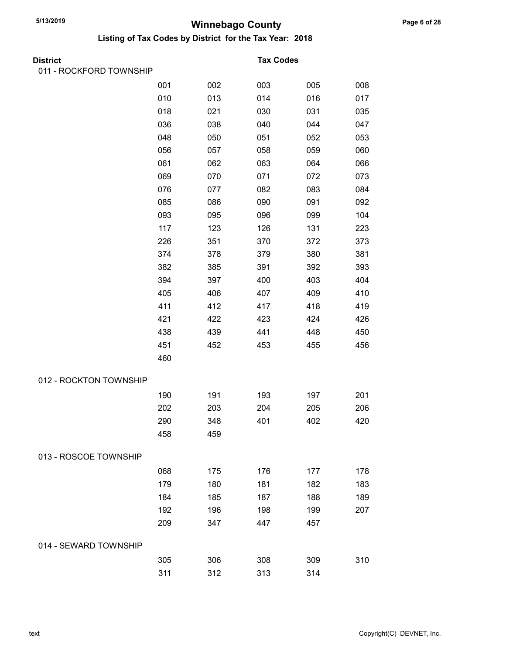| District                |     |     | <b>Tax Codes</b> |     |     |
|-------------------------|-----|-----|------------------|-----|-----|
| 011 - ROCKFORD TOWNSHIP |     |     |                  |     |     |
|                         | 001 | 002 | 003              | 005 | 008 |
|                         | 010 | 013 | 014              | 016 | 017 |
|                         | 018 | 021 | 030              | 031 | 035 |
|                         | 036 | 038 | 040              | 044 | 047 |
|                         | 048 | 050 | 051              | 052 | 053 |
|                         | 056 | 057 | 058              | 059 | 060 |
|                         | 061 | 062 | 063              | 064 | 066 |
|                         | 069 | 070 | 071              | 072 | 073 |
|                         | 076 | 077 | 082              | 083 | 084 |
|                         | 085 | 086 | 090              | 091 | 092 |
|                         | 093 | 095 | 096              | 099 | 104 |
|                         | 117 | 123 | 126              | 131 | 223 |
|                         | 226 | 351 | 370              | 372 | 373 |
|                         | 374 | 378 | 379              | 380 | 381 |
|                         | 382 | 385 | 391              | 392 | 393 |
|                         | 394 | 397 | 400              | 403 | 404 |
|                         | 405 | 406 | 407              | 409 | 410 |
|                         | 411 | 412 | 417              | 418 | 419 |
|                         | 421 | 422 | 423              | 424 | 426 |
|                         | 438 | 439 | 441              | 448 | 450 |
|                         | 451 | 452 | 453              | 455 | 456 |
|                         | 460 |     |                  |     |     |
| 012 - ROCKTON TOWNSHIP  |     |     |                  |     |     |
|                         | 190 | 191 | 193              | 197 | 201 |
|                         | 202 | 203 | 204              | 205 | 206 |
|                         | 290 | 348 | 401              | 402 | 420 |
|                         | 458 | 459 |                  |     |     |
| 013 - ROSCOE TOWNSHIP   |     |     |                  |     |     |
|                         | 068 | 175 | 176              | 177 | 178 |
|                         | 179 | 180 | 181              | 182 | 183 |
|                         | 184 | 185 | 187              | 188 | 189 |
|                         | 192 | 196 | 198              | 199 | 207 |
|                         | 209 | 347 | 447              | 457 |     |
| 014 - SEWARD TOWNSHIP   |     |     |                  |     |     |
|                         | 305 | 306 | 308              | 309 | 310 |
|                         | 311 | 312 | 313              | 314 |     |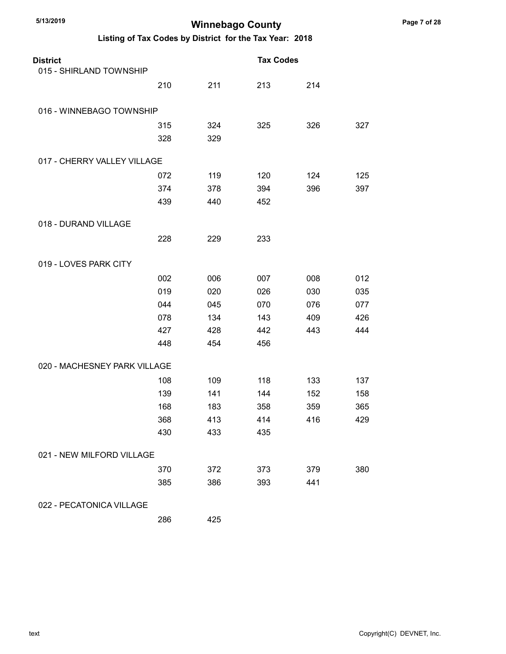#### Listing of Tax Codes by District for the Tax Year: 2018

| <b>District</b>              |     |     | <b>Tax Codes</b> |     |     |
|------------------------------|-----|-----|------------------|-----|-----|
| 015 - SHIRLAND TOWNSHIP      |     |     |                  |     |     |
|                              | 210 | 211 | 213              | 214 |     |
| 016 - WINNEBAGO TOWNSHIP     |     |     |                  |     |     |
|                              | 315 | 324 | 325              | 326 | 327 |
|                              | 328 | 329 |                  |     |     |
| 017 - CHERRY VALLEY VILLAGE  |     |     |                  |     |     |
|                              | 072 | 119 | 120              | 124 | 125 |
|                              | 374 | 378 | 394              | 396 | 397 |
|                              | 439 | 440 | 452              |     |     |
| 018 - DURAND VILLAGE         |     |     |                  |     |     |
|                              | 228 | 229 | 233              |     |     |
| 019 - LOVES PARK CITY        |     |     |                  |     |     |
|                              | 002 | 006 | 007              | 008 | 012 |
|                              | 019 | 020 | 026              | 030 | 035 |
|                              | 044 | 045 | 070              | 076 | 077 |
|                              | 078 | 134 | 143              | 409 | 426 |
|                              | 427 | 428 | 442              | 443 | 444 |
|                              | 448 | 454 | 456              |     |     |
| 020 - MACHESNEY PARK VILLAGE |     |     |                  |     |     |
|                              | 108 | 109 | 118              | 133 | 137 |
|                              | 139 | 141 | 144              | 152 | 158 |
|                              | 168 | 183 | 358              | 359 | 365 |
|                              | 368 | 413 | 414              | 416 | 429 |
|                              | 430 | 433 | 435              |     |     |
| 021 - NEW MILFORD VILLAGE    |     |     |                  |     |     |
|                              | 370 | 372 | 373              | 379 | 380 |
|                              | 385 | 386 | 393              | 441 |     |
| 022 - PECATONICA VILLAGE     |     |     |                  |     |     |

286 425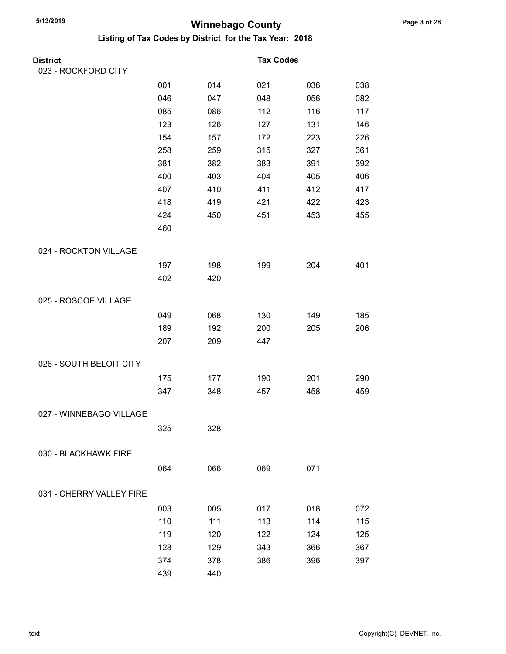| <b>District</b>          |     |     | <b>Tax Codes</b> |     |     |
|--------------------------|-----|-----|------------------|-----|-----|
| 023 - ROCKFORD CITY      |     |     |                  |     |     |
|                          | 001 | 014 | 021              | 036 | 038 |
|                          | 046 | 047 | 048              | 056 | 082 |
|                          | 085 | 086 | 112              | 116 | 117 |
|                          | 123 | 126 | 127              | 131 | 146 |
|                          | 154 | 157 | 172              | 223 | 226 |
|                          | 258 | 259 | 315              | 327 | 361 |
|                          | 381 | 382 | 383              | 391 | 392 |
|                          | 400 | 403 | 404              | 405 | 406 |
|                          | 407 | 410 | 411              | 412 | 417 |
|                          | 418 | 419 | 421              | 422 | 423 |
|                          | 424 | 450 | 451              | 453 | 455 |
|                          | 460 |     |                  |     |     |
| 024 - ROCKTON VILLAGE    |     |     |                  |     |     |
|                          | 197 | 198 | 199              | 204 | 401 |
|                          | 402 | 420 |                  |     |     |
| 025 - ROSCOE VILLAGE     |     |     |                  |     |     |
|                          | 049 | 068 | 130              | 149 | 185 |
|                          | 189 | 192 | 200              | 205 | 206 |
|                          | 207 | 209 | 447              |     |     |
| 026 - SOUTH BELOIT CITY  |     |     |                  |     |     |
|                          | 175 | 177 | 190              | 201 | 290 |
|                          | 347 | 348 | 457              | 458 | 459 |
| 027 - WINNEBAGO VILLAGE  |     |     |                  |     |     |
|                          | 325 | 328 |                  |     |     |
|                          |     |     |                  |     |     |
| 030 - BLACKHAWK FIRE     |     |     |                  |     |     |
|                          | 064 | 066 | 069              | 071 |     |
| 031 - CHERRY VALLEY FIRE |     |     |                  |     |     |
|                          | 003 | 005 | 017              | 018 | 072 |
|                          | 110 | 111 | 113              | 114 | 115 |
|                          | 119 | 120 | 122              | 124 | 125 |
|                          | 128 | 129 | 343              | 366 | 367 |
|                          | 374 | 378 | 386              | 396 | 397 |
|                          | 439 | 440 |                  |     |     |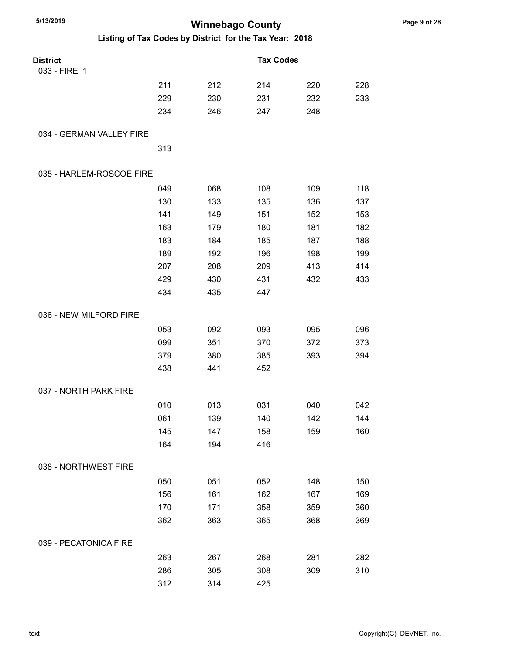| 5/13/2019<br><b>Winnebago County</b>                    |     |     |                  |     |     |  |  |
|---------------------------------------------------------|-----|-----|------------------|-----|-----|--|--|
| Listing of Tax Codes by District for the Tax Year: 2018 |     |     |                  |     |     |  |  |
| <b>District</b>                                         |     |     | <b>Tax Codes</b> |     |     |  |  |
| 033 - FIRE 1                                            |     |     |                  |     |     |  |  |
|                                                         | 211 | 212 | 214              | 220 | 228 |  |  |
|                                                         | 229 | 230 | 231              | 232 | 233 |  |  |
|                                                         | 234 | 246 | 247              | 248 |     |  |  |
| 034 - GERMAN VALLEY FIRE                                |     |     |                  |     |     |  |  |
|                                                         | 313 |     |                  |     |     |  |  |
| 035 - HARLEM-ROSCOE FIRE                                |     |     |                  |     |     |  |  |
|                                                         | 049 | 068 | 108              | 109 | 118 |  |  |
|                                                         | 130 | 133 | 135              | 136 | 137 |  |  |
|                                                         | 141 | 149 | 151              | 152 | 153 |  |  |
|                                                         | 163 | 179 | 180              | 181 | 182 |  |  |
|                                                         | 183 | 184 | 185              | 187 | 188 |  |  |
|                                                         | 189 | 192 | 196              | 198 | 199 |  |  |
|                                                         | 207 | 208 | 209              | 413 | 414 |  |  |
|                                                         | 429 | 430 | 431              | 432 | 433 |  |  |
|                                                         | 434 | 435 | 447              |     |     |  |  |
| 036 - NEW MILFORD FIRE                                  |     |     |                  |     |     |  |  |
|                                                         | 053 | 092 | 093              | 095 | 096 |  |  |
|                                                         | 099 | 351 | 370              | 372 | 373 |  |  |
|                                                         | 379 | 380 | 385              | 393 | 394 |  |  |
|                                                         | 438 | 441 | 452              |     |     |  |  |
| 037 - NORTH PARK FIRE                                   |     |     |                  |     |     |  |  |
|                                                         | 010 | 013 | 031              | 040 | 042 |  |  |
|                                                         | 061 | 139 | 140              | 142 | 144 |  |  |
|                                                         | 145 | 147 | 158              | 159 | 160 |  |  |
|                                                         | 164 | 194 | 416              |     |     |  |  |
| 038 - NORTHWEST FIRE                                    |     |     |                  |     |     |  |  |
|                                                         | 050 | 051 | 052              | 148 | 150 |  |  |
|                                                         | 156 | 161 | 162              | 167 | 169 |  |  |
|                                                         | 170 | 171 | 358              | 359 | 360 |  |  |
|                                                         | 362 | 363 | 365              | 368 | 369 |  |  |
| 039 - PECATONICA FIRE                                   |     |     |                  |     |     |  |  |
|                                                         | 263 | 267 | 268              | 281 | 282 |  |  |
|                                                         | 286 | 305 | 308              | 309 | 310 |  |  |
|                                                         | 312 | 314 | 425              |     |     |  |  |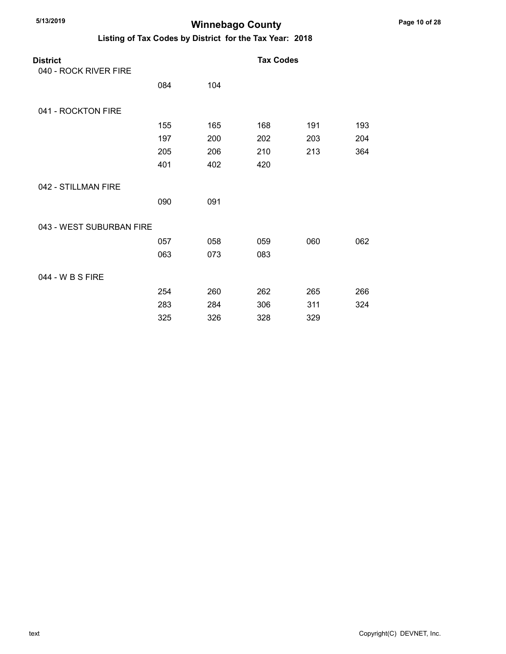#### Winnebago County

| <b>District</b>          |     |     | <b>Tax Codes</b> |     |     |
|--------------------------|-----|-----|------------------|-----|-----|
| 040 - ROCK RIVER FIRE    |     |     |                  |     |     |
|                          | 084 | 104 |                  |     |     |
| 041 - ROCKTON FIRE       |     |     |                  |     |     |
|                          | 155 | 165 | 168              | 191 | 193 |
|                          | 197 | 200 | 202              | 203 | 204 |
|                          | 205 | 206 | 210              | 213 | 364 |
|                          | 401 | 402 | 420              |     |     |
| 042 - STILLMAN FIRE      |     |     |                  |     |     |
|                          | 090 | 091 |                  |     |     |
| 043 - WEST SUBURBAN FIRE |     |     |                  |     |     |
|                          | 057 | 058 | 059              | 060 | 062 |
|                          | 063 | 073 | 083              |     |     |
| 044 - W B S FIRE         |     |     |                  |     |     |
|                          | 254 | 260 | 262              | 265 | 266 |
|                          | 283 | 284 | 306              | 311 | 324 |
|                          | 325 | 326 | 328              | 329 |     |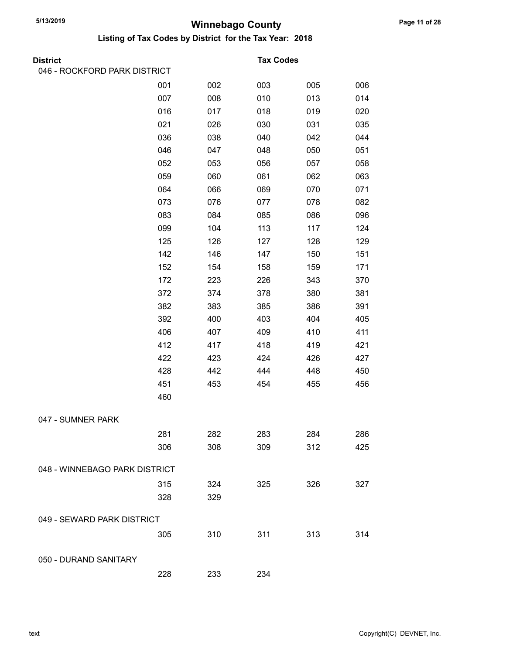| <b>District</b>               |     |     | <b>Tax Codes</b> |     |     |
|-------------------------------|-----|-----|------------------|-----|-----|
| 046 - ROCKFORD PARK DISTRICT  |     |     |                  |     |     |
|                               | 001 | 002 | 003              | 005 | 006 |
|                               | 007 | 008 | 010              | 013 | 014 |
|                               | 016 | 017 | 018              | 019 | 020 |
|                               | 021 | 026 | 030              | 031 | 035 |
|                               | 036 | 038 | 040              | 042 | 044 |
|                               | 046 | 047 | 048              | 050 | 051 |
|                               | 052 | 053 | 056              | 057 | 058 |
|                               | 059 | 060 | 061              | 062 | 063 |
|                               | 064 | 066 | 069              | 070 | 071 |
|                               | 073 | 076 | 077              | 078 | 082 |
|                               | 083 | 084 | 085              | 086 | 096 |
|                               | 099 | 104 | 113              | 117 | 124 |
|                               | 125 | 126 | 127              | 128 | 129 |
|                               | 142 | 146 | 147              | 150 | 151 |
|                               | 152 | 154 | 158              | 159 | 171 |
|                               | 172 | 223 | 226              | 343 | 370 |
|                               | 372 | 374 | 378              | 380 | 381 |
|                               | 382 | 383 | 385              | 386 | 391 |
|                               | 392 | 400 | 403              | 404 | 405 |
|                               | 406 | 407 | 409              | 410 | 411 |
|                               | 412 | 417 | 418              | 419 | 421 |
|                               | 422 | 423 | 424              | 426 | 427 |
|                               | 428 | 442 | 444              | 448 | 450 |
|                               | 451 | 453 | 454              | 455 | 456 |
|                               | 460 |     |                  |     |     |
| 047 - SUMNER PARK             |     |     |                  |     |     |
|                               | 281 | 282 | 283              | 284 | 286 |
|                               | 306 | 308 | 309              | 312 | 425 |
|                               |     |     |                  |     |     |
| 048 - WINNEBAGO PARK DISTRICT |     |     |                  |     |     |
|                               | 315 | 324 | 325              | 326 | 327 |
|                               | 328 | 329 |                  |     |     |
| 049 - SEWARD PARK DISTRICT    |     |     |                  |     |     |
|                               | 305 | 310 | 311              | 313 | 314 |
| 050 - DURAND SANITARY         |     |     |                  |     |     |
|                               | 228 | 233 | 234              |     |     |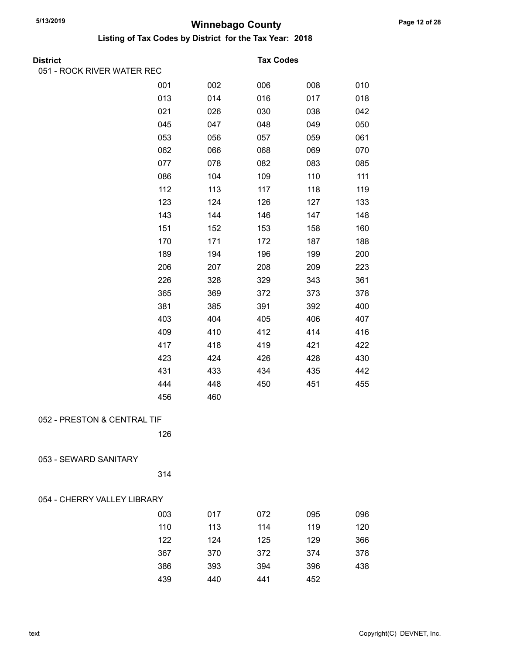| <b>District</b>             |     |     | <b>Tax Codes</b> |     |     |  |
|-----------------------------|-----|-----|------------------|-----|-----|--|
| 051 - ROCK RIVER WATER REC  |     |     |                  |     |     |  |
|                             | 001 | 002 | 006              | 008 | 010 |  |
|                             | 013 | 014 | 016              | 017 | 018 |  |
|                             | 021 | 026 | 030              | 038 | 042 |  |
|                             | 045 | 047 | 048              | 049 | 050 |  |
|                             | 053 | 056 | 057              | 059 | 061 |  |
|                             | 062 | 066 | 068              | 069 | 070 |  |
|                             | 077 | 078 | 082              | 083 | 085 |  |
|                             | 086 | 104 | 109              | 110 | 111 |  |
|                             | 112 | 113 | 117              | 118 | 119 |  |
|                             | 123 | 124 | 126              | 127 | 133 |  |
|                             | 143 | 144 | 146              | 147 | 148 |  |
|                             | 151 | 152 | 153              | 158 | 160 |  |
|                             | 170 | 171 | 172              | 187 | 188 |  |
|                             | 189 | 194 | 196              | 199 | 200 |  |
|                             | 206 | 207 | 208              | 209 | 223 |  |
|                             | 226 | 328 | 329              | 343 | 361 |  |
|                             | 365 | 369 | 372              | 373 | 378 |  |
|                             | 381 | 385 | 391              | 392 | 400 |  |
|                             | 403 | 404 | 405              | 406 | 407 |  |
|                             | 409 | 410 | 412              | 414 | 416 |  |
|                             | 417 | 418 | 419              | 421 | 422 |  |
|                             | 423 | 424 | 426              | 428 | 430 |  |
|                             | 431 | 433 | 434              | 435 | 442 |  |
|                             | 444 | 448 | 450              | 451 | 455 |  |
|                             | 456 | 460 |                  |     |     |  |
|                             |     |     |                  |     |     |  |
| 052 - PRESTON & CENTRAL TIF |     |     |                  |     |     |  |
|                             | 126 |     |                  |     |     |  |
|                             |     |     |                  |     |     |  |
| 053 - SEWARD SANITARY       |     |     |                  |     |     |  |
|                             | 314 |     |                  |     |     |  |
|                             |     |     |                  |     |     |  |
| 054 - CHERRY VALLEY LIBRARY |     |     |                  |     |     |  |
|                             | 003 | 017 | 072              | 095 | 096 |  |
|                             | 110 | 113 | 114              | 119 | 120 |  |
|                             | 122 | 124 | 125              | 129 | 366 |  |
|                             | 367 | 370 | 372              | 374 | 378 |  |
|                             | 386 | 393 | 394              | 396 | 438 |  |
|                             | 439 | 440 | 441              | 452 |     |  |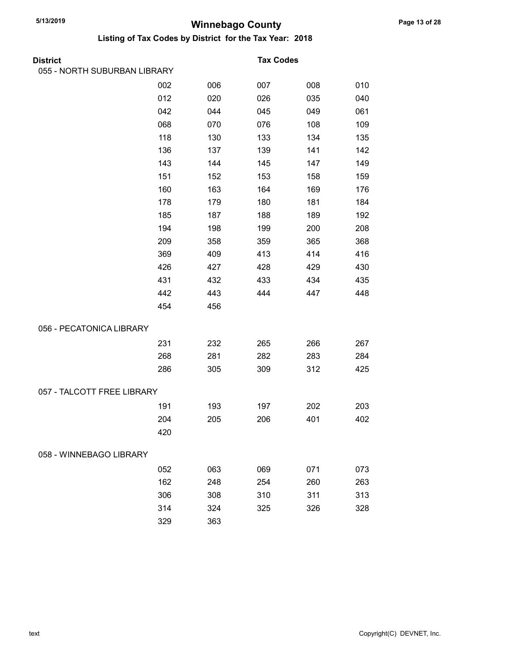| <b>District</b>              |     |     | <b>Tax Codes</b> |     |     |
|------------------------------|-----|-----|------------------|-----|-----|
| 055 - NORTH SUBURBAN LIBRARY |     |     |                  |     |     |
|                              | 002 | 006 | 007              | 008 | 010 |
|                              | 012 | 020 | 026              | 035 | 040 |
|                              | 042 | 044 | 045              | 049 | 061 |
|                              | 068 | 070 | 076              | 108 | 109 |
|                              | 118 | 130 | 133              | 134 | 135 |
|                              | 136 | 137 | 139              | 141 | 142 |
|                              | 143 | 144 | 145              | 147 | 149 |
|                              | 151 | 152 | 153              | 158 | 159 |
|                              | 160 | 163 | 164              | 169 | 176 |
|                              | 178 | 179 | 180              | 181 | 184 |
|                              | 185 | 187 | 188              | 189 | 192 |
|                              | 194 | 198 | 199              | 200 | 208 |
|                              | 209 | 358 | 359              | 365 | 368 |
|                              | 369 | 409 | 413              | 414 | 416 |
|                              | 426 | 427 | 428              | 429 | 430 |
|                              | 431 | 432 | 433              | 434 | 435 |
|                              | 442 | 443 | 444              | 447 | 448 |
|                              | 454 | 456 |                  |     |     |
| 056 - PECATONICA LIBRARY     |     |     |                  |     |     |
|                              | 231 | 232 | 265              | 266 | 267 |
|                              | 268 | 281 | 282              | 283 | 284 |
|                              | 286 | 305 | 309              | 312 | 425 |
| 057 - TALCOTT FREE LIBRARY   |     |     |                  |     |     |
|                              | 191 | 193 | 197              | 202 | 203 |
|                              | 204 | 205 | 206              | 401 | 402 |
|                              | 420 |     |                  |     |     |
| 058 - WINNEBAGO LIBRARY      |     |     |                  |     |     |
|                              | 052 | 063 | 069              | 071 | 073 |
|                              | 162 | 248 | 254              | 260 | 263 |
|                              | 306 | 308 | 310              | 311 | 313 |
|                              | 314 | 324 | 325              | 326 | 328 |
|                              | 329 | 363 |                  |     |     |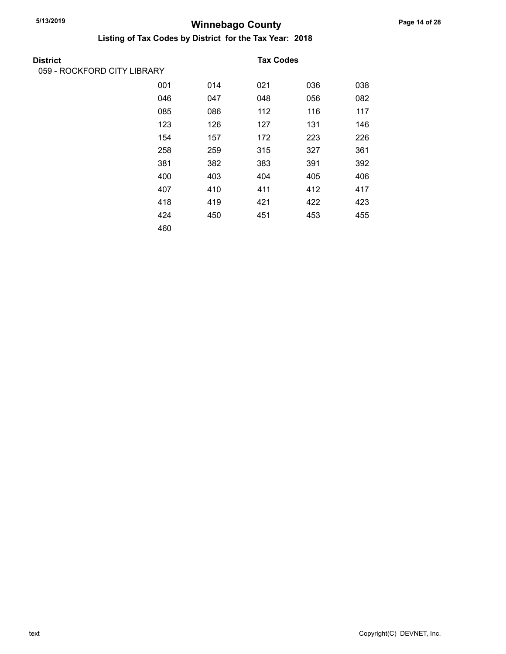| District                    |     |     | <b>Tax Codes</b> |     |     |
|-----------------------------|-----|-----|------------------|-----|-----|
| 059 - ROCKFORD CITY LIBRARY |     |     |                  |     |     |
|                             | 001 | 014 | 021              | 036 | 038 |
|                             | 046 | 047 | 048              | 056 | 082 |
|                             | 085 | 086 | 112              | 116 | 117 |
|                             | 123 | 126 | 127              | 131 | 146 |
|                             | 154 | 157 | 172              | 223 | 226 |
|                             | 258 | 259 | 315              | 327 | 361 |
|                             | 381 | 382 | 383              | 391 | 392 |
|                             | 400 | 403 | 404              | 405 | 406 |
|                             | 407 | 410 | 411              | 412 | 417 |
|                             | 418 | 419 | 421              | 422 | 423 |
|                             | 424 | 450 | 451              | 453 | 455 |
|                             | 460 |     |                  |     |     |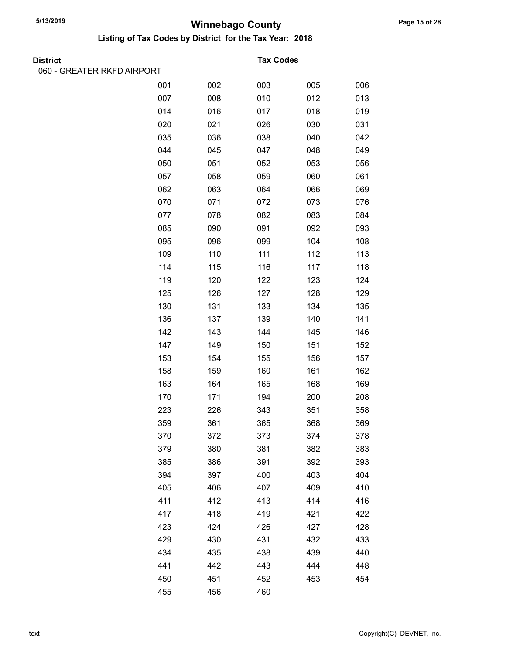417 418 419 421 422 423 424 426 427 428 429 430 431 432 433 434 435 438 439 440 441 442 443 444 448 450 451 452 453 454

455 456 460

|                            | $\mathbf{u}$<br>~y |     |                  |     |     |
|----------------------------|--------------------|-----|------------------|-----|-----|
| <b>District</b>            |                    |     | <b>Tax Codes</b> |     |     |
| 060 - GREATER RKFD AIRPORT |                    |     |                  |     |     |
|                            | 001                | 002 | 003              | 005 | 006 |
|                            | 007                | 008 | 010              | 012 | 013 |
|                            | 014                | 016 | 017              | 018 | 019 |
|                            | 020                | 021 | 026              | 030 | 031 |
|                            | 035                | 036 | 038              | 040 | 042 |
|                            | 044                | 045 | 047              | 048 | 049 |
|                            | 050                | 051 | 052              | 053 | 056 |
|                            | 057                | 058 | 059              | 060 | 061 |
|                            | 062                | 063 | 064              | 066 | 069 |
|                            | 070                | 071 | 072              | 073 | 076 |
|                            | 077                | 078 | 082              | 083 | 084 |
|                            | 085                | 090 | 091              | 092 | 093 |
|                            | 095                | 096 | 099              | 104 | 108 |
|                            | 109                | 110 | 111              | 112 | 113 |
|                            | 114                | 115 | 116              | 117 | 118 |
|                            | 119                | 120 | 122              | 123 | 124 |
|                            | 125                | 126 | 127              | 128 | 129 |
|                            | 130                | 131 | 133              | 134 | 135 |
|                            | 136                | 137 | 139              | 140 | 141 |
|                            | 142                | 143 | 144              | 145 | 146 |
|                            | 147                | 149 | 150              | 151 | 152 |
|                            | 153                | 154 | 155              | 156 | 157 |
|                            | 158                | 159 | 160              | 161 | 162 |
|                            | 163                | 164 | 165              | 168 | 169 |
|                            | 170                | 171 | 194              | 200 | 208 |
|                            | 223                | 226 | 343              | 351 | 358 |
|                            | 359                | 361 | 365              | 368 | 369 |
|                            | 370                | 372 | 373              | 374 | 378 |
|                            | 379                | 380 | 381              | 382 | 383 |
|                            | 385                | 386 | 391              | 392 | 393 |
|                            | 394                | 397 | 400              | 403 | 404 |
|                            | 405                | 406 | 407              | 409 | 410 |
|                            | 411                | 412 | 413              | 414 | 416 |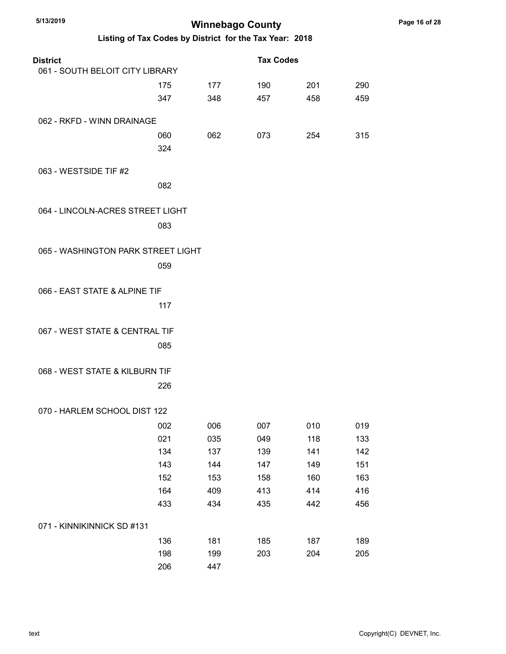| 5/13/2019<br><b>Winnebago County</b> |                                                         |     |                  |     |     |
|--------------------------------------|---------------------------------------------------------|-----|------------------|-----|-----|
|                                      | Listing of Tax Codes by District for the Tax Year: 2018 |     |                  |     |     |
| <b>District</b>                      |                                                         |     | <b>Tax Codes</b> |     |     |
| 061 - SOUTH BELOIT CITY LIBRARY      |                                                         |     |                  |     |     |
|                                      | 175                                                     | 177 | 190              | 201 | 290 |
|                                      | 347                                                     | 348 | 457              | 458 | 459 |
| 062 - RKFD - WINN DRAINAGE           |                                                         |     |                  |     |     |
|                                      | 060                                                     | 062 | 073              | 254 | 315 |
|                                      | 324                                                     |     |                  |     |     |
| 063 - WESTSIDE TIF #2                |                                                         |     |                  |     |     |
|                                      | 082                                                     |     |                  |     |     |
| 064 - LINCOLN-ACRES STREET LIGHT     |                                                         |     |                  |     |     |
|                                      | 083                                                     |     |                  |     |     |
|                                      |                                                         |     |                  |     |     |
| 065 - WASHINGTON PARK STREET LIGHT   |                                                         |     |                  |     |     |
|                                      | 059                                                     |     |                  |     |     |
|                                      |                                                         |     |                  |     |     |
| 066 - EAST STATE & ALPINE TIF        |                                                         |     |                  |     |     |
|                                      | 117                                                     |     |                  |     |     |
| 067 - WEST STATE & CENTRAL TIF       |                                                         |     |                  |     |     |
|                                      | 085                                                     |     |                  |     |     |
| 068 - WEST STATE & KILBURN TIF       |                                                         |     |                  |     |     |
|                                      |                                                         |     |                  |     |     |
|                                      | 226                                                     |     |                  |     |     |
| 070 - HARLEM SCHOOL DIST 122         |                                                         |     |                  |     |     |
|                                      | 002                                                     | 006 | 007              | 010 | 019 |
|                                      | 021                                                     | 035 | 049              | 118 | 133 |
|                                      | 134                                                     | 137 | 139              | 141 | 142 |
|                                      | 143                                                     | 144 | 147              | 149 | 151 |
|                                      | 152                                                     | 153 | 158              | 160 | 163 |
|                                      | 164                                                     | 409 | 413              | 414 | 416 |
|                                      | 433                                                     | 434 | 435              | 442 | 456 |
| 071 - KINNIKINNICK SD #131           |                                                         |     |                  |     |     |
|                                      | 136                                                     | 181 | 185              | 187 | 189 |
|                                      | 198                                                     | 199 | 203              | 204 | 205 |
|                                      | 206                                                     | 447 |                  |     |     |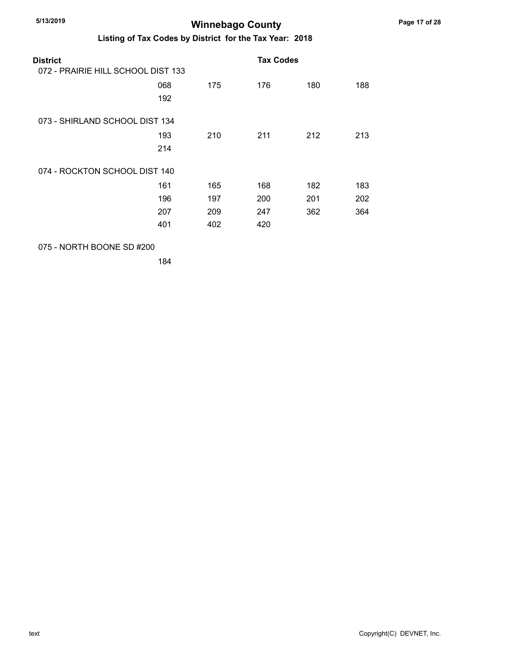#### Listing of Tax Codes by District for the Tax Year: 2018

| District<br>072 - PRAIRIE HILL SCHOOL DIST 133 |            |     | <b>Tax Codes</b> |     |     |
|------------------------------------------------|------------|-----|------------------|-----|-----|
|                                                | 068<br>192 | 175 | 176              | 180 | 188 |
| 073 - SHIRLAND SCHOOL DIST 134                 |            |     |                  |     |     |
|                                                | 193        | 210 | 211              | 212 | 213 |
|                                                | 214        |     |                  |     |     |
| 074 - ROCKTON SCHOOL DIST 140                  |            |     |                  |     |     |
|                                                | 161        | 165 | 168              | 182 | 183 |
|                                                | 196        | 197 | 200              | 201 | 202 |
|                                                | 207        | 209 | 247              | 362 | 364 |
|                                                | 401        | 402 | 420              |     |     |
|                                                |            |     |                  |     |     |

075 - NORTH BOONE SD #200

184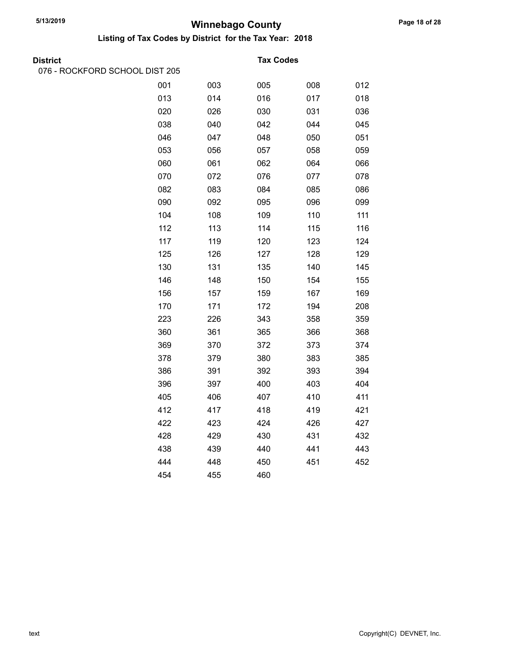Listing of Tax Codes by District for the Tax Year: 2018

| District |  |
|----------|--|

076 - ROCKFORD SCHOOL DIST 205

#### **Tax Codes**

| 001 | 003 | 005 | 008 | 012 |
|-----|-----|-----|-----|-----|
| 013 | 014 | 016 | 017 | 018 |
| 020 | 026 | 030 | 031 | 036 |
| 038 | 040 | 042 | 044 | 045 |
| 046 | 047 | 048 | 050 | 051 |
| 053 | 056 | 057 | 058 | 059 |
| 060 | 061 | 062 | 064 | 066 |
| 070 | 072 | 076 | 077 | 078 |
| 082 | 083 | 084 | 085 | 086 |
| 090 | 092 | 095 | 096 | 099 |
| 104 | 108 | 109 | 110 | 111 |
| 112 | 113 | 114 | 115 | 116 |
| 117 | 119 | 120 | 123 | 124 |
| 125 | 126 | 127 | 128 | 129 |
| 130 | 131 | 135 | 140 | 145 |
| 146 | 148 | 150 | 154 | 155 |
| 156 | 157 | 159 | 167 | 169 |
| 170 | 171 | 172 | 194 | 208 |
| 223 | 226 | 343 | 358 | 359 |
| 360 | 361 | 365 | 366 | 368 |
| 369 | 370 | 372 | 373 | 374 |
| 378 | 379 | 380 | 383 | 385 |
| 386 | 391 | 392 | 393 | 394 |
| 396 | 397 | 400 | 403 | 404 |
| 405 | 406 | 407 | 410 | 411 |
| 412 | 417 | 418 | 419 | 421 |
| 422 | 423 | 424 | 426 | 427 |
| 428 | 429 | 430 | 431 | 432 |
| 438 | 439 | 440 | 441 | 443 |
| 444 | 448 | 450 | 451 | 452 |
| 454 | 455 | 460 |     |     |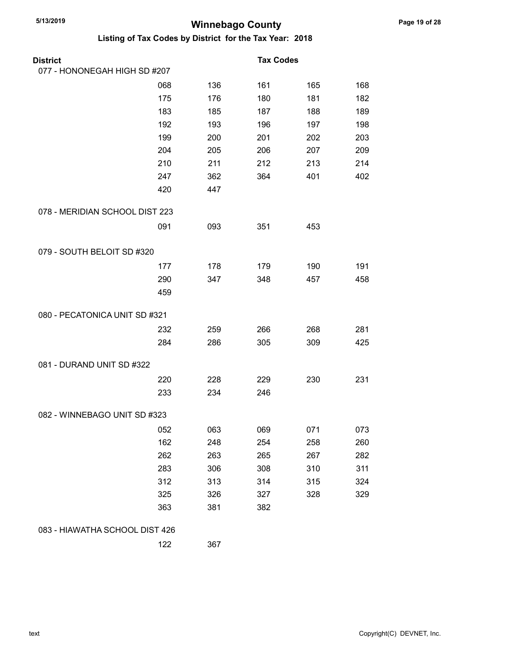| <b>District</b>                |     |     | <b>Tax Codes</b> |     |     |
|--------------------------------|-----|-----|------------------|-----|-----|
| 077 - HONONEGAH HIGH SD #207   |     |     |                  |     |     |
|                                | 068 | 136 | 161              | 165 | 168 |
|                                | 175 | 176 | 180              | 181 | 182 |
|                                | 183 | 185 | 187              | 188 | 189 |
|                                | 192 | 193 | 196              | 197 | 198 |
|                                | 199 | 200 | 201              | 202 | 203 |
|                                | 204 | 205 | 206              | 207 | 209 |
|                                | 210 | 211 | 212              | 213 | 214 |
|                                | 247 | 362 | 364              | 401 | 402 |
|                                | 420 | 447 |                  |     |     |
| 078 - MERIDIAN SCHOOL DIST 223 |     |     |                  |     |     |
|                                | 091 | 093 | 351              | 453 |     |
| 079 - SOUTH BELOIT SD #320     |     |     |                  |     |     |
|                                | 177 | 178 | 179              | 190 | 191 |
|                                | 290 | 347 | 348              | 457 | 458 |
|                                | 459 |     |                  |     |     |
| 080 - PECATONICA UNIT SD #321  |     |     |                  |     |     |
|                                | 232 | 259 | 266              | 268 | 281 |
|                                | 284 | 286 | 305              | 309 | 425 |
| 081 - DURAND UNIT SD #322      |     |     |                  |     |     |
|                                | 220 | 228 | 229              | 230 | 231 |
|                                | 233 | 234 | 246              |     |     |
| 082 - WINNEBAGO UNIT SD #323   |     |     |                  |     |     |
|                                | 052 | 063 | 069              | 071 | 073 |
|                                | 162 | 248 | 254              | 258 | 260 |
|                                | 262 | 263 | 265              | 267 | 282 |
|                                | 283 | 306 | 308              | 310 | 311 |
|                                | 312 | 313 | 314              | 315 | 324 |
|                                | 325 | 326 | 327              | 328 | 329 |
|                                | 363 | 381 | 382              |     |     |
| 083 - HIAWATHA SCHOOL DIST 426 |     |     |                  |     |     |
|                                | 122 | 367 |                  |     |     |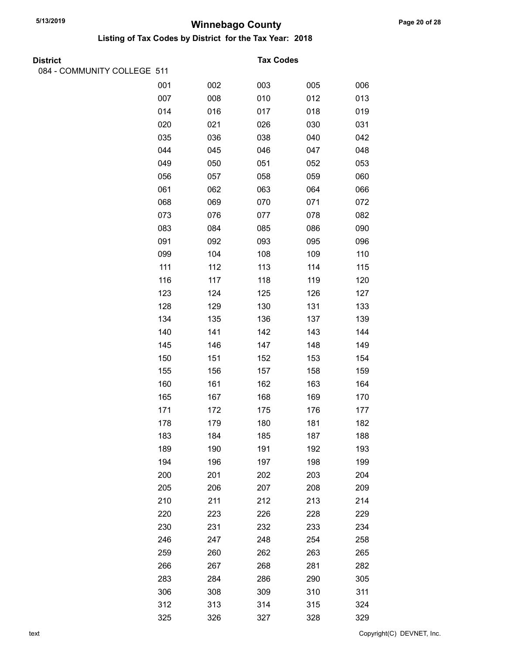| <b>District</b>             |     |     | <b>Tax Codes</b> |     |     |
|-----------------------------|-----|-----|------------------|-----|-----|
| 084 - COMMUNITY COLLEGE 511 |     |     |                  |     |     |
|                             | 001 | 002 | 003              | 005 | 006 |
|                             | 007 | 008 | 010              | 012 | 013 |
|                             | 014 | 016 | 017              | 018 | 019 |
|                             | 020 | 021 | 026              | 030 | 031 |
|                             | 035 | 036 | 038              | 040 | 042 |
|                             | 044 | 045 | 046              | 047 | 048 |
|                             | 049 | 050 | 051              | 052 | 053 |
|                             | 056 | 057 | 058              | 059 | 060 |
|                             | 061 | 062 | 063              | 064 | 066 |
|                             | 068 | 069 | 070              | 071 | 072 |
|                             | 073 | 076 | 077              | 078 | 082 |
|                             | 083 | 084 | 085              | 086 | 090 |
|                             | 091 | 092 | 093              | 095 | 096 |
|                             | 099 | 104 | 108              | 109 | 110 |
|                             | 111 | 112 | 113              | 114 | 115 |
|                             | 116 | 117 | 118              | 119 | 120 |
|                             | 123 | 124 | 125              | 126 | 127 |
|                             | 128 | 129 | 130              | 131 | 133 |
|                             | 134 | 135 | 136              | 137 | 139 |
|                             | 140 | 141 | 142              | 143 | 144 |
|                             | 145 | 146 | 147              | 148 | 149 |
|                             | 150 | 151 | 152              | 153 | 154 |
|                             | 155 | 156 | 157              | 158 | 159 |
|                             | 160 | 161 | 162              | 163 | 164 |
|                             | 165 | 167 | 168              | 169 | 170 |
|                             | 171 | 172 | 175              | 176 | 177 |
|                             | 178 | 179 | 180              | 181 | 182 |
|                             | 183 | 184 | 185              | 187 | 188 |
|                             | 189 | 190 | 191              | 192 | 193 |
|                             | 194 | 196 | 197              | 198 | 199 |
|                             | 200 | 201 | 202              | 203 | 204 |
|                             | 205 | 206 | 207              | 208 | 209 |
|                             | 210 | 211 | 212              | 213 | 214 |
|                             | 220 | 223 | 226              | 228 | 229 |
|                             | 230 | 231 | 232              | 233 | 234 |
|                             | 246 | 247 | 248              | 254 | 258 |
|                             | 259 | 260 | 262              | 263 | 265 |
|                             | 266 | 267 | 268              | 281 | 282 |
|                             | 283 | 284 | 286              | 290 | 305 |
|                             | 306 | 308 | 309              | 310 | 311 |
|                             | 312 | 313 | 314              | 315 | 324 |
|                             | 325 | 326 | 327              | 328 | 329 |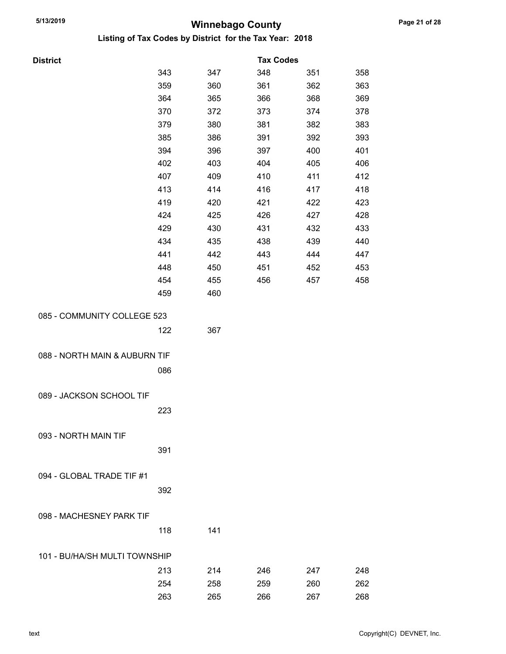| <b>District</b>               |     |     | <b>Tax Codes</b> |     |     |
|-------------------------------|-----|-----|------------------|-----|-----|
|                               | 343 | 347 | 348              | 351 | 358 |
|                               | 359 | 360 | 361              | 362 | 363 |
|                               | 364 | 365 | 366              | 368 | 369 |
|                               | 370 | 372 | 373              | 374 | 378 |
|                               | 379 | 380 | 381              | 382 | 383 |
|                               | 385 | 386 | 391              | 392 | 393 |
|                               | 394 | 396 | 397              | 400 | 401 |
|                               | 402 | 403 | 404              | 405 | 406 |
|                               | 407 | 409 | 410              | 411 | 412 |
|                               | 413 | 414 | 416              | 417 | 418 |
|                               | 419 | 420 | 421              | 422 | 423 |
|                               | 424 | 425 | 426              | 427 | 428 |
|                               | 429 | 430 | 431              | 432 | 433 |
|                               | 434 | 435 | 438              | 439 | 440 |
|                               | 441 | 442 | 443              | 444 | 447 |
|                               | 448 | 450 | 451              | 452 | 453 |
|                               | 454 | 455 | 456              | 457 | 458 |
|                               | 459 | 460 |                  |     |     |
| 085 - COMMUNITY COLLEGE 523   |     |     |                  |     |     |
|                               | 122 | 367 |                  |     |     |
|                               |     |     |                  |     |     |
| 088 - NORTH MAIN & AUBURN TIF |     |     |                  |     |     |
|                               | 086 |     |                  |     |     |
|                               |     |     |                  |     |     |
| 089 - JACKSON SCHOOL TIF      |     |     |                  |     |     |
|                               | 223 |     |                  |     |     |
|                               |     |     |                  |     |     |
| 093 - NORTH MAIN TIF          |     |     |                  |     |     |
|                               | 391 |     |                  |     |     |
|                               |     |     |                  |     |     |
| 094 - GLOBAL TRADE TIF #1     |     |     |                  |     |     |
|                               | 392 |     |                  |     |     |
|                               |     |     |                  |     |     |
| 098 - MACHESNEY PARK TIF      |     |     |                  |     |     |
|                               | 118 | 141 |                  |     |     |
|                               |     |     |                  |     |     |
| 101 - BU/HA/SH MULTI TOWNSHIP |     |     |                  |     |     |
|                               | 213 | 214 | 246              | 247 | 248 |
|                               | 254 | 258 | 259              | 260 | 262 |
|                               | 263 | 265 | 266              | 267 | 268 |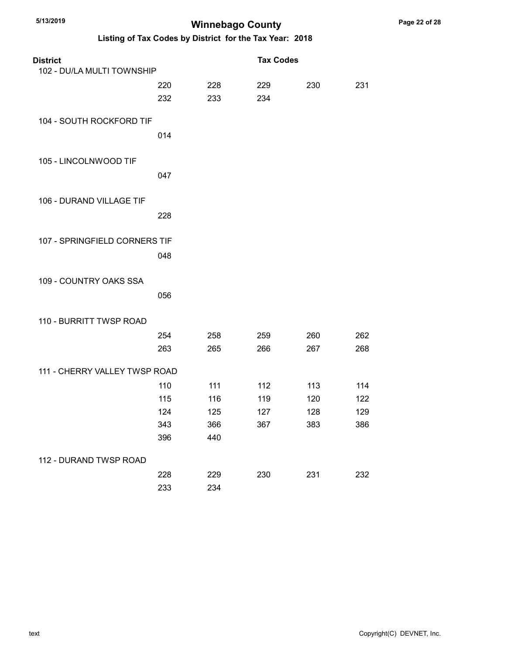| <b>District</b>               |     |            | <b>Tax Codes</b> |     |     |
|-------------------------------|-----|------------|------------------|-----|-----|
| 102 - DU/LA MULTI TOWNSHIP    |     |            |                  |     |     |
|                               | 220 | 228        | 229              | 230 | 231 |
|                               | 232 | 233        | 234              |     |     |
|                               |     |            |                  |     |     |
| 104 - SOUTH ROCKFORD TIF      |     |            |                  |     |     |
|                               | 014 |            |                  |     |     |
| 105 - LINCOLNWOOD TIF         |     |            |                  |     |     |
|                               | 047 |            |                  |     |     |
|                               |     |            |                  |     |     |
| 106 - DURAND VILLAGE TIF      |     |            |                  |     |     |
|                               | 228 |            |                  |     |     |
|                               |     |            |                  |     |     |
| 107 - SPRINGFIELD CORNERS TIF |     |            |                  |     |     |
|                               | 048 |            |                  |     |     |
|                               |     |            |                  |     |     |
| 109 - COUNTRY OAKS SSA        |     |            |                  |     |     |
|                               | 056 |            |                  |     |     |
|                               |     |            |                  |     |     |
| 110 - BURRITT TWSP ROAD       |     |            |                  |     |     |
|                               | 254 | 258        | 259              | 260 | 262 |
|                               | 263 | 265        | 266              | 267 | 268 |
| 111 - CHERRY VALLEY TWSP ROAD |     |            |                  |     |     |
|                               | 110 | 111        | 112              | 113 | 114 |
|                               | 115 | 116        | 119              | 120 | 122 |
|                               | 124 | 125        | 127              | 128 | 129 |
|                               | 343 | 366        | 367              | 383 | 386 |
|                               | 396 | 440        |                  |     |     |
| 112 - DURAND TWSP ROAD        |     |            |                  |     |     |
|                               | 228 |            | 230              |     |     |
|                               | 233 | 229<br>234 |                  | 231 | 232 |
|                               |     |            |                  |     |     |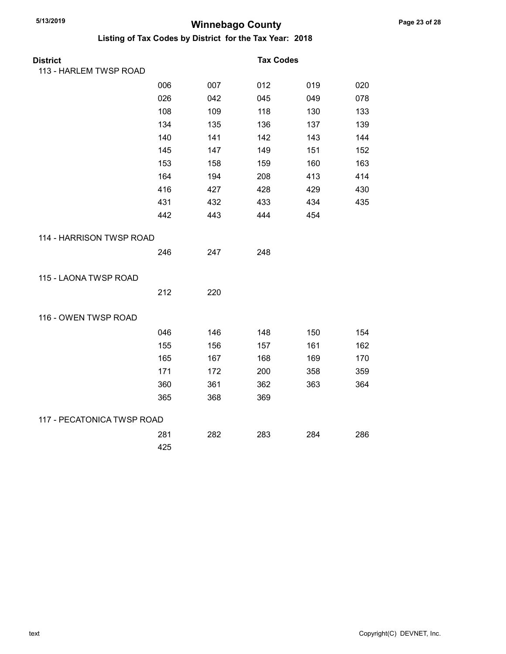| <b>District</b>            |     |     | <b>Tax Codes</b> |     |     |
|----------------------------|-----|-----|------------------|-----|-----|
| 113 - HARLEM TWSP ROAD     |     |     |                  |     |     |
|                            | 006 | 007 | 012              | 019 | 020 |
|                            | 026 | 042 | 045              | 049 | 078 |
|                            | 108 | 109 | 118              | 130 | 133 |
|                            | 134 | 135 | 136              | 137 | 139 |
|                            | 140 | 141 | 142              | 143 | 144 |
|                            | 145 | 147 | 149              | 151 | 152 |
|                            | 153 | 158 | 159              | 160 | 163 |
|                            | 164 | 194 | 208              | 413 | 414 |
|                            | 416 | 427 | 428              | 429 | 430 |
|                            | 431 | 432 | 433              | 434 | 435 |
|                            | 442 | 443 | 444              | 454 |     |
| 114 - HARRISON TWSP ROAD   |     |     |                  |     |     |
|                            | 246 | 247 | 248              |     |     |
| 115 - LAONA TWSP ROAD      |     |     |                  |     |     |
|                            | 212 | 220 |                  |     |     |
| 116 - OWEN TWSP ROAD       |     |     |                  |     |     |
|                            | 046 | 146 | 148              | 150 | 154 |
|                            | 155 | 156 | 157              | 161 | 162 |
|                            | 165 | 167 | 168              | 169 | 170 |
|                            | 171 | 172 | 200              | 358 | 359 |
|                            | 360 | 361 | 362              | 363 | 364 |
|                            | 365 | 368 | 369              |     |     |
| 117 - PECATONICA TWSP ROAD |     |     |                  |     |     |
|                            | 281 | 282 | 283              | 284 | 286 |
|                            | 425 |     |                  |     |     |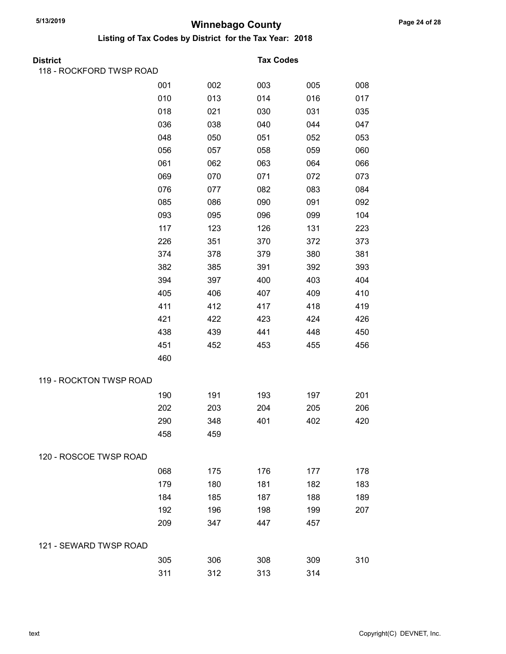| District                 |     |     | <b>Tax Codes</b> |     |     |
|--------------------------|-----|-----|------------------|-----|-----|
| 118 - ROCKFORD TWSP ROAD |     |     |                  |     |     |
|                          | 001 | 002 | 003              | 005 | 008 |
|                          | 010 | 013 | 014              | 016 | 017 |
|                          | 018 | 021 | 030              | 031 | 035 |
|                          | 036 | 038 | 040              | 044 | 047 |
|                          | 048 | 050 | 051              | 052 | 053 |
|                          | 056 | 057 | 058              | 059 | 060 |
|                          | 061 | 062 | 063              | 064 | 066 |
|                          | 069 | 070 | 071              | 072 | 073 |
|                          | 076 | 077 | 082              | 083 | 084 |
|                          | 085 | 086 | 090              | 091 | 092 |
|                          | 093 | 095 | 096              | 099 | 104 |
|                          | 117 | 123 | 126              | 131 | 223 |
|                          | 226 | 351 | 370              | 372 | 373 |
|                          | 374 | 378 | 379              | 380 | 381 |
|                          | 382 | 385 | 391              | 392 | 393 |
|                          | 394 | 397 | 400              | 403 | 404 |
|                          | 405 | 406 | 407              | 409 | 410 |
|                          | 411 | 412 | 417              | 418 | 419 |
|                          | 421 | 422 | 423              | 424 | 426 |
|                          | 438 | 439 | 441              | 448 | 450 |
|                          | 451 | 452 | 453              | 455 | 456 |
|                          | 460 |     |                  |     |     |
| 119 - ROCKTON TWSP ROAD  |     |     |                  |     |     |
|                          | 190 | 191 | 193              | 197 | 201 |
|                          | 202 | 203 | 204              | 205 | 206 |
|                          | 290 | 348 | 401              | 402 | 420 |
|                          | 458 | 459 |                  |     |     |
| 120 - ROSCOE TWSP ROAD   |     |     |                  |     |     |
|                          | 068 | 175 | 176              | 177 | 178 |
|                          | 179 | 180 | 181              | 182 | 183 |
|                          | 184 | 185 | 187              | 188 | 189 |
|                          | 192 | 196 | 198              | 199 | 207 |
|                          | 209 | 347 | 447              | 457 |     |
| 121 - SEWARD TWSP ROAD   |     |     |                  |     |     |
|                          | 305 | 306 | 308              | 309 | 310 |
|                          | 311 | 312 | 313              | 314 |     |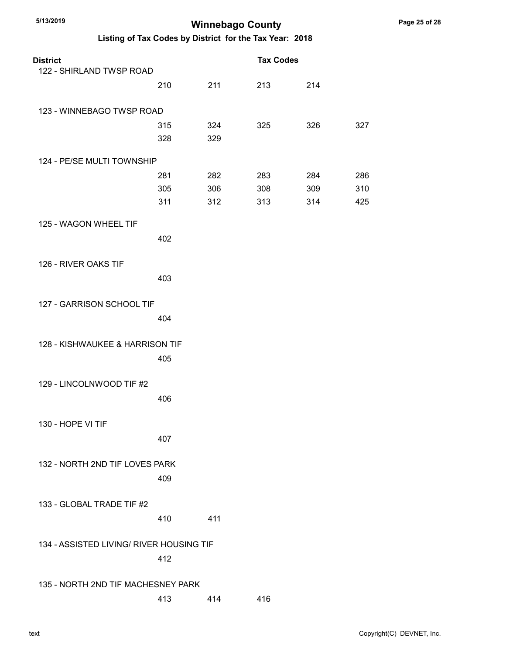| <b>District</b>                          |     |     | <b>Tax Codes</b> |     |     |
|------------------------------------------|-----|-----|------------------|-----|-----|
| 122 - SHIRLAND TWSP ROAD                 |     |     |                  |     |     |
|                                          | 210 | 211 | 213              | 214 |     |
| 123 - WINNEBAGO TWSP ROAD                |     |     |                  |     |     |
|                                          | 315 | 324 | 325              | 326 | 327 |
|                                          | 328 | 329 |                  |     |     |
| 124 - PE/SE MULTI TOWNSHIP               |     |     |                  |     |     |
|                                          | 281 | 282 | 283              | 284 | 286 |
|                                          | 305 | 306 | 308              | 309 | 310 |
|                                          | 311 | 312 | 313              | 314 | 425 |
| 125 - WAGON WHEEL TIF                    |     |     |                  |     |     |
|                                          | 402 |     |                  |     |     |
|                                          |     |     |                  |     |     |
| 126 - RIVER OAKS TIF                     |     |     |                  |     |     |
|                                          | 403 |     |                  |     |     |
| 127 - GARRISON SCHOOL TIF                |     |     |                  |     |     |
|                                          | 404 |     |                  |     |     |
|                                          |     |     |                  |     |     |
| 128 - KISHWAUKEE & HARRISON TIF          |     |     |                  |     |     |
|                                          | 405 |     |                  |     |     |
|                                          |     |     |                  |     |     |
| 129 - LINCOLNWOOD TIF #2                 |     |     |                  |     |     |
|                                          | 406 |     |                  |     |     |
| 130 - HOPE VI TIF                        |     |     |                  |     |     |
|                                          | 407 |     |                  |     |     |
|                                          |     |     |                  |     |     |
| 132 - NORTH 2ND TIF LOVES PARK           |     |     |                  |     |     |
|                                          | 409 |     |                  |     |     |
|                                          |     |     |                  |     |     |
| 133 - GLOBAL TRADE TIF #2                |     |     |                  |     |     |
|                                          | 410 | 411 |                  |     |     |
| 134 - ASSISTED LIVING/ RIVER HOUSING TIF |     |     |                  |     |     |
|                                          | 412 |     |                  |     |     |
|                                          |     |     |                  |     |     |
| 135 - NORTH 2ND TIF MACHESNEY PARK       |     |     |                  |     |     |
|                                          | 413 | 414 | 416              |     |     |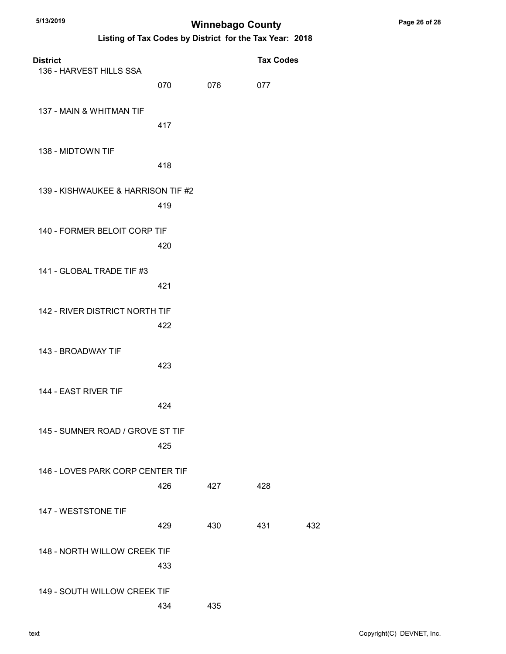| <b>District</b>                    |     |     | <b>Tax Codes</b> |     |
|------------------------------------|-----|-----|------------------|-----|
| 136 - HARVEST HILLS SSA            | 070 | 076 | 077              |     |
| 137 - MAIN & WHITMAN TIF           | 417 |     |                  |     |
| 138 - MIDTOWN TIF                  | 418 |     |                  |     |
| 139 - KISHWAUKEE & HARRISON TIF #2 | 419 |     |                  |     |
| 140 - FORMER BELOIT CORP TIF       | 420 |     |                  |     |
| 141 - GLOBAL TRADE TIF #3          | 421 |     |                  |     |
| 142 - RIVER DISTRICT NORTH TIF     | 422 |     |                  |     |
| 143 - BROADWAY TIF                 | 423 |     |                  |     |
| 144 - EAST RIVER TIF               | 424 |     |                  |     |
| 145 - SUMNER ROAD / GROVE ST TIF   | 425 |     |                  |     |
| 146 - LOVES PARK CORP CENTER TIF   | 426 | 427 | 428              |     |
| 147 - WESTSTONE TIF                | 429 | 430 | 431              | 432 |
| 148 - NORTH WILLOW CREEK TIF       | 433 |     |                  |     |
| 149 - SOUTH WILLOW CREEK TIF       | 434 | 435 |                  |     |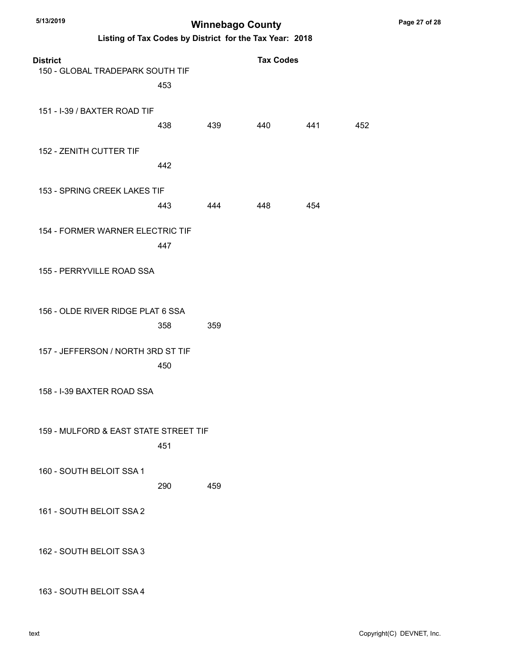Listing of Tax Codes by District for the Tax Year: 2018

| <b>District</b><br>150 - GLOBAL TRADEPARK SOUTH TIF |     |     | <b>Tax Codes</b> |     |     |
|-----------------------------------------------------|-----|-----|------------------|-----|-----|
| 151 - I-39 / BAXTER ROAD TIF                        | 453 |     |                  |     |     |
|                                                     | 438 | 439 | 440              | 441 | 452 |
| 152 - ZENITH CUTTER TIF                             | 442 |     |                  |     |     |
| 153 - SPRING CREEK LAKES TIF                        | 443 | 444 | 448              | 454 |     |
| 154 - FORMER WARNER ELECTRIC TIF                    | 447 |     |                  |     |     |
| 155 - PERRYVILLE ROAD SSA                           |     |     |                  |     |     |
| 156 - OLDE RIVER RIDGE PLAT 6 SSA                   | 358 | 359 |                  |     |     |
| 157 - JEFFERSON / NORTH 3RD ST TIF                  | 450 |     |                  |     |     |
| 158 - I-39 BAXTER ROAD SSA                          |     |     |                  |     |     |
| 159 - MULFORD & EAST STATE STREET TIF               | 451 |     |                  |     |     |
| 160 - SOUTH BELOIT SSA 1                            | 290 | 459 |                  |     |     |
| 161 - SOUTH BELOIT SSA 2                            |     |     |                  |     |     |
| 162 - SOUTH BELOIT SSA 3                            |     |     |                  |     |     |

163 - SOUTH BELOIT SSA 4